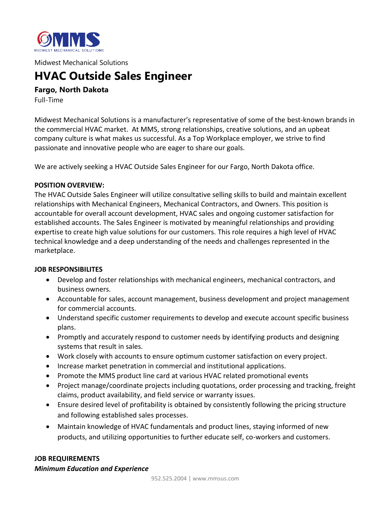

Midwest Mechanical Solutions

# **HVAC Outside Sales Engineer**

**Fargo, North Dakota**

Full-Time

Midwest Mechanical Solutions is a manufacturer's representative of some of the best-known brands in the commercial HVAC market. At MMS, strong relationships, creative solutions, and an upbeat company culture is what makes us successful. As a Top Workplace employer, we strive to find passionate and innovative people who are eager to share our goals.

We are actively seeking a HVAC Outside Sales Engineer for our Fargo, North Dakota office.

## **POSITION OVERVIEW:**

The HVAC Outside Sales Engineer will utilize consultative selling skills to build and maintain excellent relationships with Mechanical Engineers, Mechanical Contractors, and Owners. This position is accountable for overall account development, HVAC sales and ongoing customer satisfaction for established accounts. The Sales Engineer is motivated by meaningful relationships and providing expertise to create high value solutions for our customers. This role requires a high level of HVAC technical knowledge and a deep understanding of the needs and challenges represented in the marketplace.

#### **JOB RESPONSIBILITES**

- Develop and foster relationships with mechanical engineers, mechanical contractors, and business owners.
- Accountable for sales, account management, business development and project management for commercial accounts.
- Understand specific customer requirements to develop and execute account specific business plans.
- Promptly and accurately respond to customer needs by identifying products and designing systems that result in sales.
- Work closely with accounts to ensure optimum customer satisfaction on every project.
- Increase market penetration in commercial and institutional applications.
- Promote the MMS product line card at various HVAC related promotional events
- Project manage/coordinate projects including quotations, order processing and tracking, freight claims, product availability, and field service or warranty issues.
- Ensure desired level of profitability is obtained by consistently following the pricing structure and following established sales processes.
- Maintain knowledge of HVAC fundamentals and product lines, staying informed of new products, and utilizing opportunities to further educate self, co-workers and customers.

#### **JOB REQUIREMENTS**

*Minimum Education and Experience*